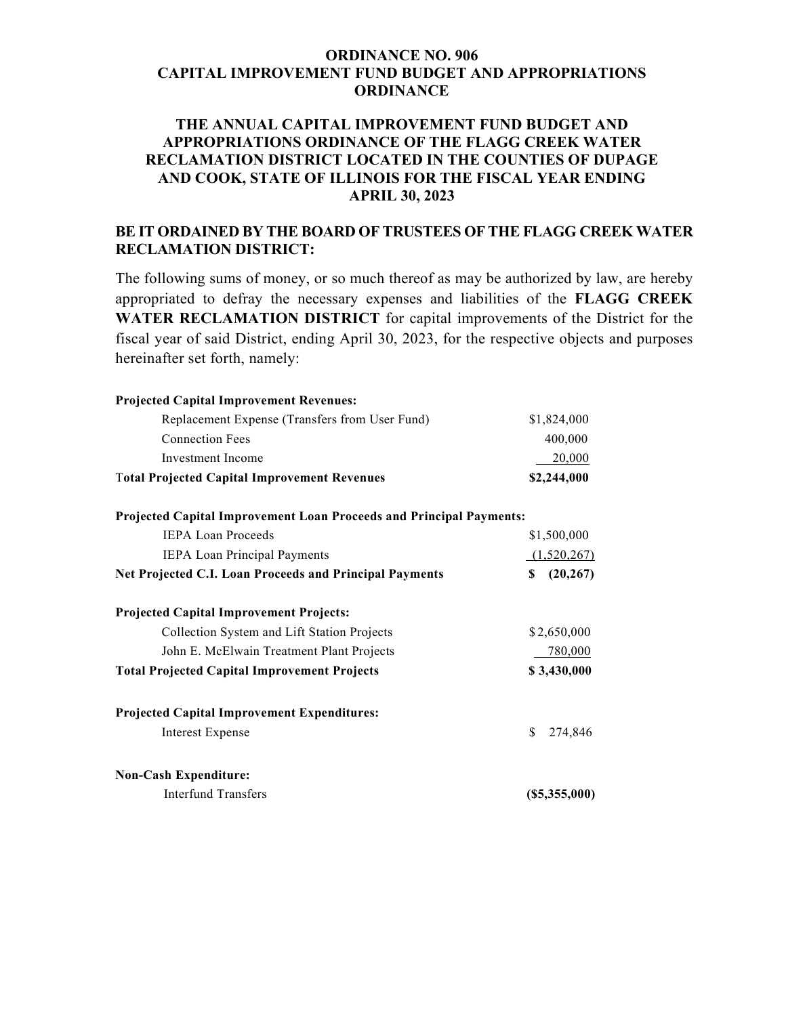## **ORDINANCE NO. 906 CAPITAL IMPROVEMENT FUND BUDGET AND APPROPRIATIONS ORDINANCE**

## **THE ANNUAL CAPITAL IMPROVEMENT FUND BUDGET AND APPROPRIATIONS ORDINANCE OF THE FLAGG CREEK WATER RECLAMATION DISTRICT LOCATED IN THE COUNTIES OF DUPAGE AND COOK, STATE OF ILLINOIS FOR THE FISCAL YEAR ENDING APRIL 30, 2023**

## **BE IT ORDAINED BY THE BOARD OF TRUSTEES OF THE FLAGG CREEK WATER RECLAMATION DISTRICT:**

The following sums of money, or so much thereof as may be authorized by law, are hereby appropriated to defray the necessary expenses and liabilities of the **FLAGG CREEK WATER RECLAMATION DISTRICT** for capital improvements of the District for the fiscal year of said District, ending April 30, 2023, for the respective objects and purposes hereinafter set forth, namely:

| <b>Projected Capital Improvement Revenues:</b>                      |                     |
|---------------------------------------------------------------------|---------------------|
| Replacement Expense (Transfers from User Fund)                      | \$1,824,000         |
| <b>Connection Fees</b>                                              | 400,000             |
| Investment Income                                                   | 20,000              |
| <b>Total Projected Capital Improvement Revenues</b>                 | \$2,244,000         |
| Projected Capital Improvement Loan Proceeds and Principal Payments: |                     |
| <b>IEPA Loan Proceeds</b>                                           | \$1,500,000         |
| <b>IEPA Loan Principal Payments</b>                                 | (1,520,267)         |
| Net Projected C.I. Loan Proceeds and Principal Payments             | (20, 267)<br>\$     |
| <b>Projected Capital Improvement Projects:</b>                      |                     |
| Collection System and Lift Station Projects                         | \$2,650,000         |
| John E. McElwain Treatment Plant Projects                           | 780,000             |
| <b>Total Projected Capital Improvement Projects</b>                 | \$3,430,000         |
| <b>Projected Capital Improvement Expenditures:</b>                  |                     |
| <b>Interest Expense</b>                                             | \$<br>274,846       |
| <b>Non-Cash Expenditure:</b>                                        |                     |
| <b>Interfund Transfers</b>                                          | $($ \$5,355,000 $)$ |